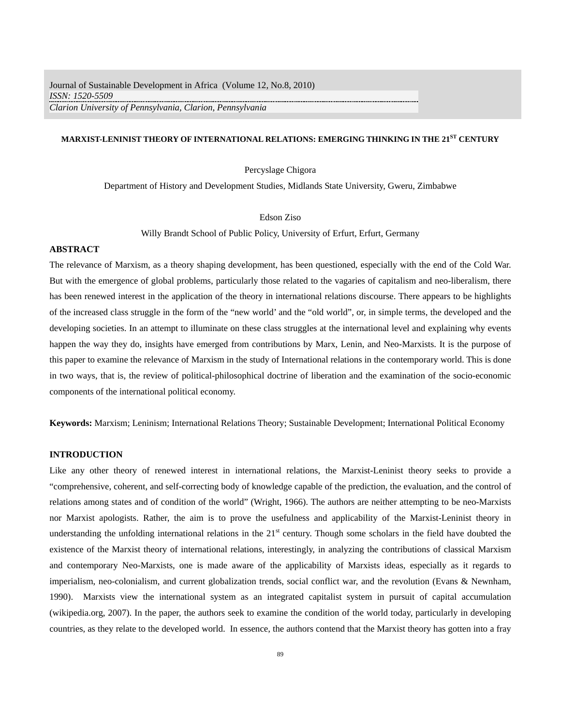# **MARXIST-LENINIST THEORY OF INTERNATIONAL RELATIONS: EMERGING THINKING IN THE 21ST CENTURY**

Percyslage Chigora

Department of History and Development Studies, Midlands State University, Gweru, Zimbabwe

Edson Ziso

Willy Brandt School of Public Policy, University of Erfurt, Erfurt, Germany

#### **ABSTRACT**

The relevance of Marxism, as a theory shaping development, has been questioned, especially with the end of the Cold War. But with the emergence of global problems, particularly those related to the vagaries of capitalism and neo-liberalism, there has been renewed interest in the application of the theory in international relations discourse. There appears to be highlights of the increased class struggle in the form of the "new world' and the "old world", or, in simple terms, the developed and the developing societies. In an attempt to illuminate on these class struggles at the international level and explaining why events happen the way they do, insights have emerged from contributions by Marx, Lenin, and Neo-Marxists. It is the purpose of this paper to examine the relevance of Marxism in the study of International relations in the contemporary world. This is done in two ways, that is, the review of political-philosophical doctrine of liberation and the examination of the socio-economic components of the international political economy.

**Keywords:** Marxism; Leninism; International Relations Theory; Sustainable Development; International Political Economy

### **INTRODUCTION**

Like any other theory of renewed interest in international relations, the Marxist-Leninist theory seeks to provide a "comprehensive, coherent, and self-correcting body of knowledge capable of the prediction, the evaluation, and the control of relations among states and of condition of the world" (Wright, 1966). The authors are neither attempting to be neo-Marxists nor Marxist apologists. Rather, the aim is to prove the usefulness and applicability of the Marxist-Leninist theory in understanding the unfolding international relations in the  $21<sup>st</sup>$  century. Though some scholars in the field have doubted the existence of the Marxist theory of international relations, interestingly, in analyzing the contributions of classical Marxism and contemporary Neo-Marxists, one is made aware of the applicability of Marxists ideas, especially as it regards to imperialism, neo-colonialism, and current globalization trends, social conflict war, and the revolution (Evans & Newnham, 1990). Marxists view the international system as an integrated capitalist system in pursuit of capital accumulation (wikipedia.org, 2007). In the paper, the authors seek to examine the condition of the world today, particularly in developing countries, as they relate to the developed world. In essence, the authors contend that the Marxist theory has gotten into a fray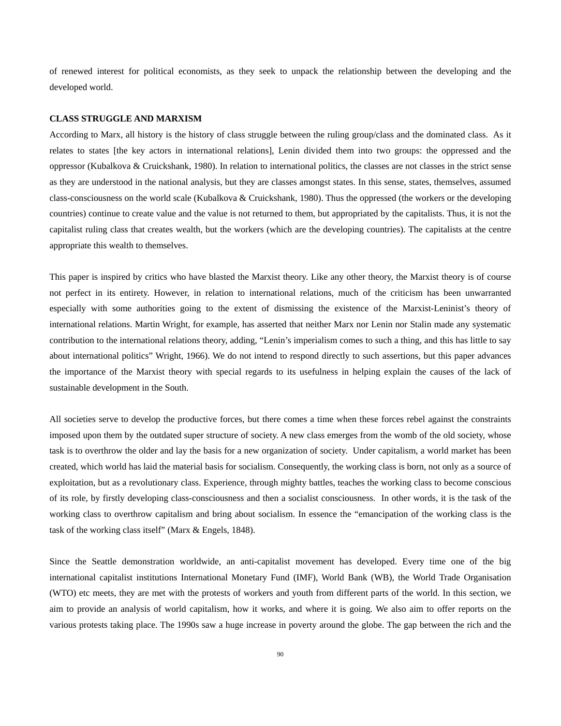of renewed interest for political economists, as they seek to unpack the relationship between the developing and the developed world.

#### **CLASS STRUGGLE AND MARXISM**

According to Marx, all history is the history of class struggle between the ruling group/class and the dominated class. As it relates to states [the key actors in international relations], Lenin divided them into two groups: the oppressed and the oppressor (Kubalkova & Cruickshank, 1980). In relation to international politics, the classes are not classes in the strict sense as they are understood in the national analysis, but they are classes amongst states. In this sense, states, themselves, assumed class-consciousness on the world scale (Kubalkova & Cruickshank, 1980). Thus the oppressed (the workers or the developing countries) continue to create value and the value is not returned to them, but appropriated by the capitalists. Thus, it is not the capitalist ruling class that creates wealth, but the workers (which are the developing countries). The capitalists at the centre appropriate this wealth to themselves.

This paper is inspired by critics who have blasted the Marxist theory. Like any other theory, the Marxist theory is of course not perfect in its entirety. However, in relation to international relations, much of the criticism has been unwarranted especially with some authorities going to the extent of dismissing the existence of the Marxist-Leninist's theory of international relations. Martin Wright, for example, has asserted that neither Marx nor Lenin nor Stalin made any systematic contribution to the international relations theory, adding, "Lenin's imperialism comes to such a thing, and this has little to say about international politics" Wright, 1966). We do not intend to respond directly to such assertions, but this paper advances the importance of the Marxist theory with special regards to its usefulness in helping explain the causes of the lack of sustainable development in the South.

All societies serve to develop the productive forces, but there comes a time when these forces rebel against the constraints imposed upon them by the outdated super structure of society. A new class emerges from the womb of the old society, whose task is to overthrow the older and lay the basis for a new organization of society. Under capitalism, a world market has been created, which world has laid the material basis for socialism. Consequently, the working class is born, not only as a source of exploitation, but as a revolutionary class. Experience, through mighty battles, teaches the working class to become conscious of its role, by firstly developing class-consciousness and then a socialist consciousness. In other words, it is the task of the working class to overthrow capitalism and bring about socialism. In essence the "emancipation of the working class is the task of the working class itself" (Marx & Engels, 1848).

Since the Seattle demonstration worldwide, an anti-capitalist movement has developed. Every time one of the big international capitalist institutions International Monetary Fund (IMF), World Bank (WB), the World Trade Organisation (WTO) etc meets, they are met with the protests of workers and youth from different parts of the world. In this section, we aim to provide an analysis of world capitalism, how it works, and where it is going. We also aim to offer reports on the various protests taking place. The 1990s saw a huge increase in poverty around the globe. The gap between the rich and the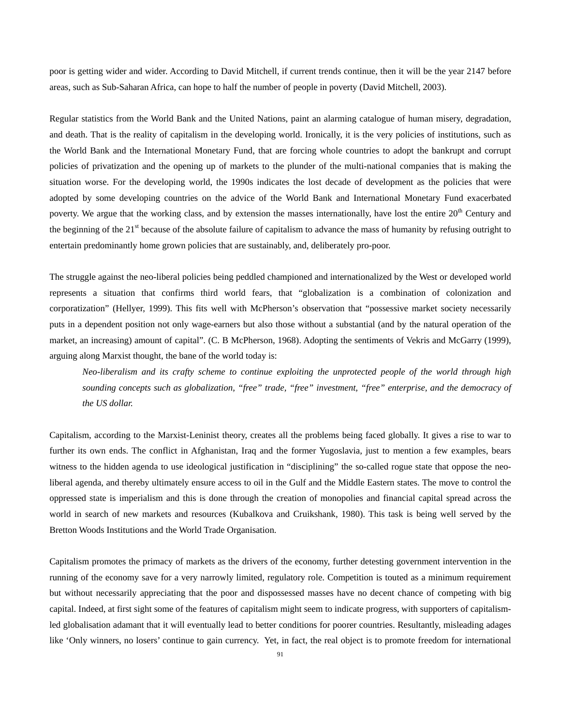poor is getting wider and wider. According to David Mitchell, if current trends continue, then it will be the year 2147 before areas, such as Sub-Saharan Africa, can hope to half the number of people in poverty (David Mitchell, 2003).

Regular statistics from the World Bank and the United Nations, paint an alarming catalogue of human misery, degradation, and death. That is the reality of capitalism in the developing world. Ironically, it is the very policies of institutions, such as the World Bank and the International Monetary Fund, that are forcing whole countries to adopt the bankrupt and corrupt policies of privatization and the opening up of markets to the plunder of the multi-national companies that is making the situation worse. For the developing world, the 1990s indicates the lost decade of development as the policies that were adopted by some developing countries on the advice of the World Bank and International Monetary Fund exacerbated poverty. We argue that the working class, and by extension the masses internationally, have lost the entire 20<sup>th</sup> Century and the beginning of the  $21<sup>st</sup>$  because of the absolute failure of capitalism to advance the mass of humanity by refusing outright to entertain predominantly home grown policies that are sustainably, and, deliberately pro-poor.

The struggle against the neo-liberal policies being peddled championed and internationalized by the West or developed world represents a situation that confirms third world fears, that "globalization is a combination of colonization and corporatization" (Hellyer, 1999). This fits well with McPherson's observation that "possessive market society necessarily puts in a dependent position not only wage-earners but also those without a substantial (and by the natural operation of the market, an increasing) amount of capital". (C. B McPherson, 1968). Adopting the sentiments of Vekris and McGarry (1999), arguing along Marxist thought, the bane of the world today is:

*Neo-liberalism and its crafty scheme to continue exploiting the unprotected people of the world through high sounding concepts such as globalization, "free" trade, "free" investment, "free" enterprise, and the democracy of the US dollar.* 

Capitalism, according to the Marxist-Leninist theory, creates all the problems being faced globally. It gives a rise to war to further its own ends. The conflict in Afghanistan, Iraq and the former Yugoslavia, just to mention a few examples, bears witness to the hidden agenda to use ideological justification in "disciplining" the so-called rogue state that oppose the neoliberal agenda, and thereby ultimately ensure access to oil in the Gulf and the Middle Eastern states. The move to control the oppressed state is imperialism and this is done through the creation of monopolies and financial capital spread across the world in search of new markets and resources (Kubalkova and Cruikshank, 1980). This task is being well served by the Bretton Woods Institutions and the World Trade Organisation.

Capitalism promotes the primacy of markets as the drivers of the economy, further detesting government intervention in the running of the economy save for a very narrowly limited, regulatory role. Competition is touted as a minimum requirement but without necessarily appreciating that the poor and dispossessed masses have no decent chance of competing with big capital. Indeed, at first sight some of the features of capitalism might seem to indicate progress, with supporters of capitalismled globalisation adamant that it will eventually lead to better conditions for poorer countries. Resultantly, misleading adages like 'Only winners, no losers' continue to gain currency. Yet, in fact, the real object is to promote freedom for international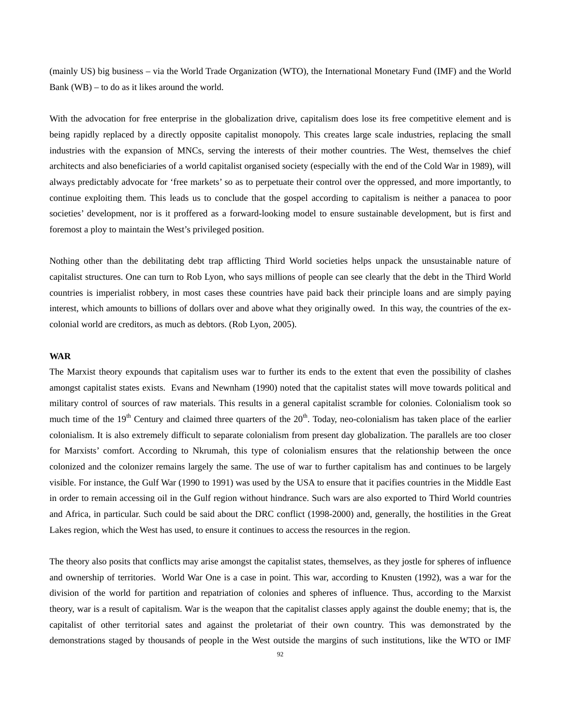(mainly US) big business – via the World Trade Organization (WTO), the International Monetary Fund (IMF) and the World Bank (WB) – to do as it likes around the world.

With the advocation for free enterprise in the globalization drive, capitalism does lose its free competitive element and is being rapidly replaced by a directly opposite capitalist monopoly. This creates large scale industries, replacing the small industries with the expansion of MNCs, serving the interests of their mother countries. The West, themselves the chief architects and also beneficiaries of a world capitalist organised society (especially with the end of the Cold War in 1989), will always predictably advocate for 'free markets' so as to perpetuate their control over the oppressed, and more importantly, to continue exploiting them. This leads us to conclude that the gospel according to capitalism is neither a panacea to poor societies' development, nor is it proffered as a forward-looking model to ensure sustainable development, but is first and foremost a ploy to maintain the West's privileged position.

Nothing other than the debilitating debt trap afflicting Third World societies helps unpack the unsustainable nature of capitalist structures. One can turn to Rob Lyon, who says millions of people can see clearly that the debt in the Third World countries is imperialist robbery, in most cases these countries have paid back their principle loans and are simply paying interest, which amounts to billions of dollars over and above what they originally owed. In this way, the countries of the excolonial world are creditors, as much as debtors. (Rob Lyon, 2005).

#### **WAR**

The Marxist theory expounds that capitalism uses war to further its ends to the extent that even the possibility of clashes amongst capitalist states exists. Evans and Newnham (1990) noted that the capitalist states will move towards political and military control of sources of raw materials. This results in a general capitalist scramble for colonies. Colonialism took so much time of the  $19<sup>th</sup>$  Century and claimed three quarters of the  $20<sup>th</sup>$ . Today, neo-colonialism has taken place of the earlier colonialism. It is also extremely difficult to separate colonialism from present day globalization. The parallels are too closer for Marxists' comfort. According to Nkrumah, this type of colonialism ensures that the relationship between the once colonized and the colonizer remains largely the same. The use of war to further capitalism has and continues to be largely visible. For instance, the Gulf War (1990 to 1991) was used by the USA to ensure that it pacifies countries in the Middle East in order to remain accessing oil in the Gulf region without hindrance. Such wars are also exported to Third World countries and Africa, in particular. Such could be said about the DRC conflict (1998-2000) and, generally, the hostilities in the Great Lakes region, which the West has used, to ensure it continues to access the resources in the region.

The theory also posits that conflicts may arise amongst the capitalist states, themselves, as they jostle for spheres of influence and ownership of territories. World War One is a case in point. This war, according to Knusten (1992), was a war for the division of the world for partition and repatriation of colonies and spheres of influence. Thus, according to the Marxist theory, war is a result of capitalism. War is the weapon that the capitalist classes apply against the double enemy; that is, the capitalist of other territorial sates and against the proletariat of their own country. This was demonstrated by the demonstrations staged by thousands of people in the West outside the margins of such institutions, like the WTO or IMF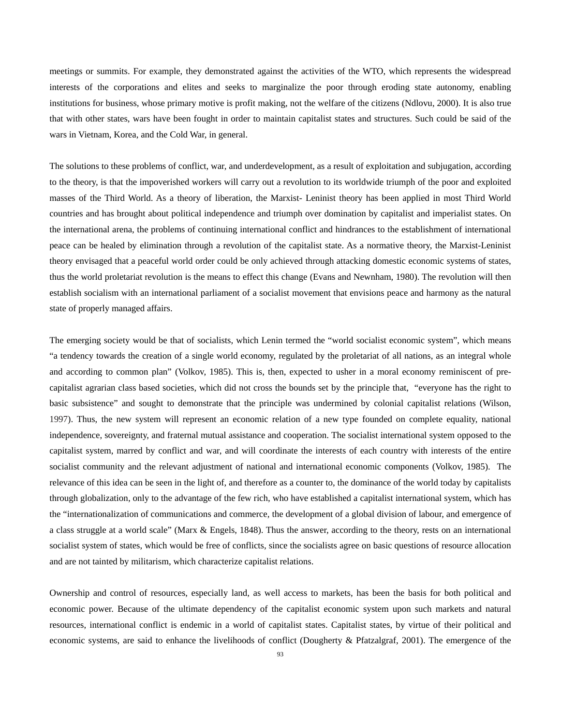meetings or summits. For example, they demonstrated against the activities of the WTO, which represents the widespread interests of the corporations and elites and seeks to marginalize the poor through eroding state autonomy, enabling institutions for business, whose primary motive is profit making, not the welfare of the citizens (Ndlovu, 2000). It is also true that with other states, wars have been fought in order to maintain capitalist states and structures. Such could be said of the wars in Vietnam, Korea, and the Cold War, in general.

The solutions to these problems of conflict, war, and underdevelopment, as a result of exploitation and subjugation, according to the theory, is that the impoverished workers will carry out a revolution to its worldwide triumph of the poor and exploited masses of the Third World. As a theory of liberation, the Marxist- Leninist theory has been applied in most Third World countries and has brought about political independence and triumph over domination by capitalist and imperialist states. On the international arena, the problems of continuing international conflict and hindrances to the establishment of international peace can be healed by elimination through a revolution of the capitalist state. As a normative theory, the Marxist-Leninist theory envisaged that a peaceful world order could be only achieved through attacking domestic economic systems of states, thus the world proletariat revolution is the means to effect this change (Evans and Newnham, 1980). The revolution will then establish socialism with an international parliament of a socialist movement that envisions peace and harmony as the natural state of properly managed affairs.

The emerging society would be that of socialists, which Lenin termed the "world socialist economic system", which means "a tendency towards the creation of a single world economy, regulated by the proletariat of all nations, as an integral whole and according to common plan" (Volkov, 1985). This is, then, expected to usher in a moral economy reminiscent of precapitalist agrarian class based societies, which did not cross the bounds set by the principle that, "everyone has the right to basic subsistence" and sought to demonstrate that the principle was undermined by colonial capitalist relations (Wilson, 1997). Thus, the new system will represent an economic relation of a new type founded on complete equality, national independence, sovereignty, and fraternal mutual assistance and cooperation. The socialist international system opposed to the capitalist system, marred by conflict and war, and will coordinate the interests of each country with interests of the entire socialist community and the relevant adjustment of national and international economic components (Volkov, 1985). The relevance of this idea can be seen in the light of, and therefore as a counter to, the dominance of the world today by capitalists through globalization, only to the advantage of the few rich, who have established a capitalist international system, which has the "internationalization of communications and commerce, the development of a global division of labour, and emergence of a class struggle at a world scale" (Marx & Engels, 1848). Thus the answer, according to the theory, rests on an international socialist system of states, which would be free of conflicts, since the socialists agree on basic questions of resource allocation and are not tainted by militarism, which characterize capitalist relations.

Ownership and control of resources, especially land, as well access to markets, has been the basis for both political and economic power. Because of the ultimate dependency of the capitalist economic system upon such markets and natural resources, international conflict is endemic in a world of capitalist states. Capitalist states, by virtue of their political and economic systems, are said to enhance the livelihoods of conflict (Dougherty & Pfatzalgraf, 2001). The emergence of the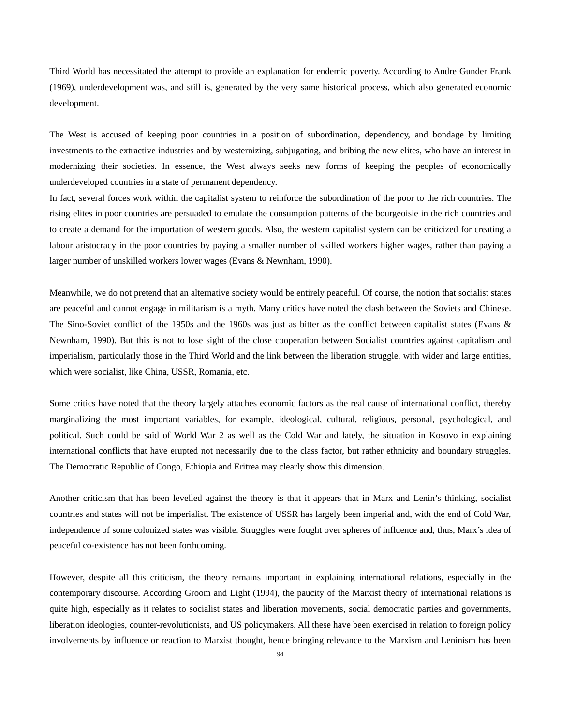Third World has necessitated the attempt to provide an explanation for endemic poverty. According to Andre Gunder Frank (1969), underdevelopment was, and still is, generated by the very same historical process, which also generated economic development.

The West is accused of keeping poor countries in a position of subordination, dependency, and bondage by limiting investments to the extractive industries and by westernizing, subjugating, and bribing the new elites, who have an interest in modernizing their societies. In essence, the West always seeks new forms of keeping the peoples of economically underdeveloped countries in a state of permanent dependency.

In fact, several forces work within the capitalist system to reinforce the subordination of the poor to the rich countries. The rising elites in poor countries are persuaded to emulate the consumption patterns of the bourgeoisie in the rich countries and to create a demand for the importation of western goods. Also, the western capitalist system can be criticized for creating a labour aristocracy in the poor countries by paying a smaller number of skilled workers higher wages, rather than paying a larger number of unskilled workers lower wages (Evans & Newnham, 1990).

Meanwhile, we do not pretend that an alternative society would be entirely peaceful. Of course, the notion that socialist states are peaceful and cannot engage in militarism is a myth. Many critics have noted the clash between the Soviets and Chinese. The Sino-Soviet conflict of the 1950s and the 1960s was just as bitter as the conflict between capitalist states (Evans & Newnham, 1990). But this is not to lose sight of the close cooperation between Socialist countries against capitalism and imperialism, particularly those in the Third World and the link between the liberation struggle, with wider and large entities, which were socialist, like China, USSR, Romania, etc.

Some critics have noted that the theory largely attaches economic factors as the real cause of international conflict, thereby marginalizing the most important variables, for example, ideological, cultural, religious, personal, psychological, and political. Such could be said of World War 2 as well as the Cold War and lately, the situation in Kosovo in explaining international conflicts that have erupted not necessarily due to the class factor, but rather ethnicity and boundary struggles. The Democratic Republic of Congo, Ethiopia and Eritrea may clearly show this dimension.

Another criticism that has been levelled against the theory is that it appears that in Marx and Lenin's thinking, socialist countries and states will not be imperialist. The existence of USSR has largely been imperial and, with the end of Cold War, independence of some colonized states was visible. Struggles were fought over spheres of influence and, thus, Marx's idea of peaceful co-existence has not been forthcoming.

However, despite all this criticism, the theory remains important in explaining international relations, especially in the contemporary discourse. According Groom and Light (1994), the paucity of the Marxist theory of international relations is quite high, especially as it relates to socialist states and liberation movements, social democratic parties and governments, liberation ideologies, counter-revolutionists, and US policymakers. All these have been exercised in relation to foreign policy involvements by influence or reaction to Marxist thought, hence bringing relevance to the Marxism and Leninism has been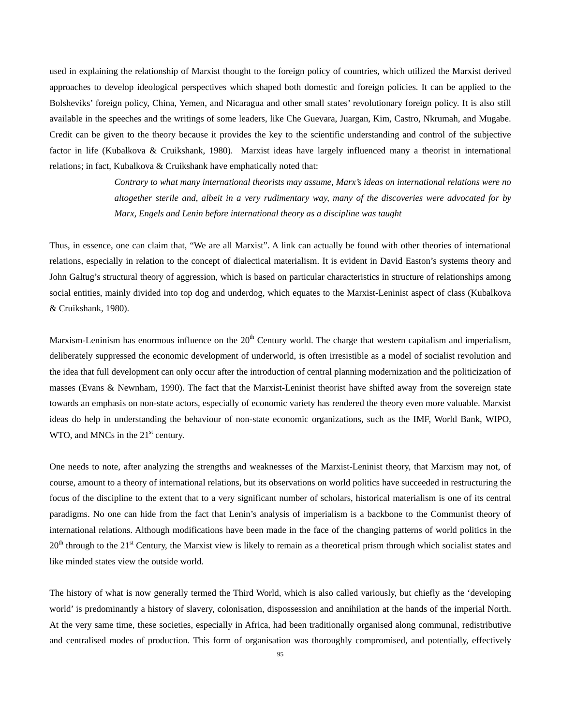used in explaining the relationship of Marxist thought to the foreign policy of countries, which utilized the Marxist derived approaches to develop ideological perspectives which shaped both domestic and foreign policies. It can be applied to the Bolsheviks' foreign policy, China, Yemen, and Nicaragua and other small states' revolutionary foreign policy. It is also still available in the speeches and the writings of some leaders, like Che Guevara, Juargan, Kim, Castro, Nkrumah, and Mugabe. Credit can be given to the theory because it provides the key to the scientific understanding and control of the subjective factor in life (Kubalkova & Cruikshank, 1980). Marxist ideas have largely influenced many a theorist in international relations; in fact, Kubalkova & Cruikshank have emphatically noted that:

> *Contrary to what many international theorists may assume, Marx's ideas on international relations were no altogether sterile and, albeit in a very rudimentary way, many of the discoveries were advocated for by Marx, Engels and Lenin before international theory as a discipline was taught*

Thus, in essence, one can claim that, "We are all Marxist". A link can actually be found with other theories of international relations, especially in relation to the concept of dialectical materialism. It is evident in David Easton's systems theory and John Galtug's structural theory of aggression, which is based on particular characteristics in structure of relationships among social entities, mainly divided into top dog and underdog, which equates to the Marxist-Leninist aspect of class (Kubalkova & Cruikshank, 1980).

Marxism-Leninism has enormous influence on the  $20<sup>th</sup>$  Century world. The charge that western capitalism and imperialism, deliberately suppressed the economic development of underworld, is often irresistible as a model of socialist revolution and the idea that full development can only occur after the introduction of central planning modernization and the politicization of masses (Evans & Newnham, 1990). The fact that the Marxist-Leninist theorist have shifted away from the sovereign state towards an emphasis on non-state actors, especially of economic variety has rendered the theory even more valuable. Marxist ideas do help in understanding the behaviour of non-state economic organizations, such as the IMF, World Bank, WIPO, WTO, and MNCs in the  $21<sup>st</sup>$  century.

One needs to note, after analyzing the strengths and weaknesses of the Marxist-Leninist theory, that Marxism may not, of course, amount to a theory of international relations, but its observations on world politics have succeeded in restructuring the focus of the discipline to the extent that to a very significant number of scholars, historical materialism is one of its central paradigms. No one can hide from the fact that Lenin's analysis of imperialism is a backbone to the Communist theory of international relations. Although modifications have been made in the face of the changing patterns of world politics in the  $20<sup>th</sup>$  through to the  $21<sup>st</sup>$  Century, the Marxist view is likely to remain as a theoretical prism through which socialist states and like minded states view the outside world.

The history of what is now generally termed the Third World, which is also called variously, but chiefly as the 'developing world' is predominantly a history of slavery, colonisation, dispossession and annihilation at the hands of the imperial North. At the very same time, these societies, especially in Africa, had been traditionally organised along communal, redistributive and centralised modes of production. This form of organisation was thoroughly compromised, and potentially, effectively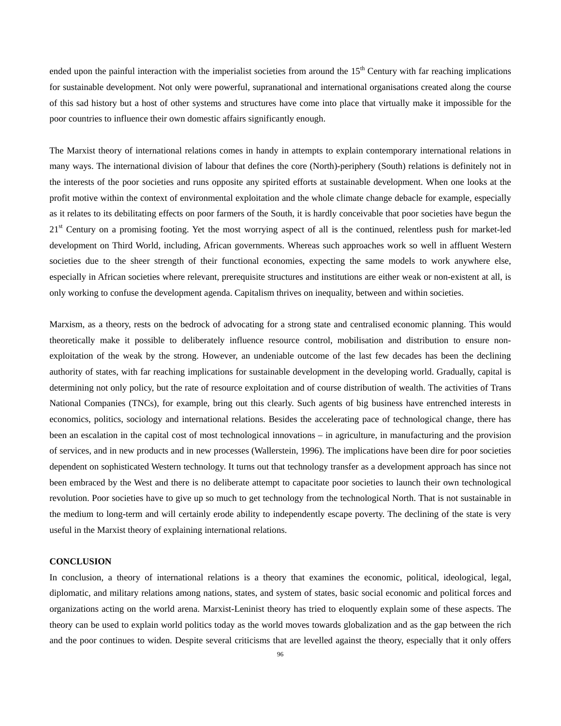ended upon the painful interaction with the imperialist societies from around the  $15<sup>th</sup>$  Century with far reaching implications for sustainable development. Not only were powerful, supranational and international organisations created along the course of this sad history but a host of other systems and structures have come into place that virtually make it impossible for the poor countries to influence their own domestic affairs significantly enough.

The Marxist theory of international relations comes in handy in attempts to explain contemporary international relations in many ways. The international division of labour that defines the core (North)-periphery (South) relations is definitely not in the interests of the poor societies and runs opposite any spirited efforts at sustainable development. When one looks at the profit motive within the context of environmental exploitation and the whole climate change debacle for example, especially as it relates to its debilitating effects on poor farmers of the South, it is hardly conceivable that poor societies have begun the  $21<sup>st</sup>$  Century on a promising footing. Yet the most worrying aspect of all is the continued, relentless push for market-led development on Third World, including, African governments. Whereas such approaches work so well in affluent Western societies due to the sheer strength of their functional economies, expecting the same models to work anywhere else, especially in African societies where relevant, prerequisite structures and institutions are either weak or non-existent at all, is only working to confuse the development agenda. Capitalism thrives on inequality, between and within societies.

Marxism, as a theory, rests on the bedrock of advocating for a strong state and centralised economic planning. This would theoretically make it possible to deliberately influence resource control, mobilisation and distribution to ensure nonexploitation of the weak by the strong. However, an undeniable outcome of the last few decades has been the declining authority of states, with far reaching implications for sustainable development in the developing world. Gradually, capital is determining not only policy, but the rate of resource exploitation and of course distribution of wealth. The activities of Trans National Companies (TNCs), for example, bring out this clearly. Such agents of big business have entrenched interests in economics, politics, sociology and international relations. Besides the accelerating pace of technological change, there has been an escalation in the capital cost of most technological innovations – in agriculture, in manufacturing and the provision of services, and in new products and in new processes (Wallerstein, 1996). The implications have been dire for poor societies dependent on sophisticated Western technology. It turns out that technology transfer as a development approach has since not been embraced by the West and there is no deliberate attempt to capacitate poor societies to launch their own technological revolution. Poor societies have to give up so much to get technology from the technological North. That is not sustainable in the medium to long-term and will certainly erode ability to independently escape poverty. The declining of the state is very useful in the Marxist theory of explaining international relations.

#### **CONCLUSION**

In conclusion, a theory of international relations is a theory that examines the economic, political, ideological, legal, diplomatic, and military relations among nations, states, and system of states, basic social economic and political forces and organizations acting on the world arena. Marxist-Leninist theory has tried to eloquently explain some of these aspects. The theory can be used to explain world politics today as the world moves towards globalization and as the gap between the rich and the poor continues to widen. Despite several criticisms that are levelled against the theory, especially that it only offers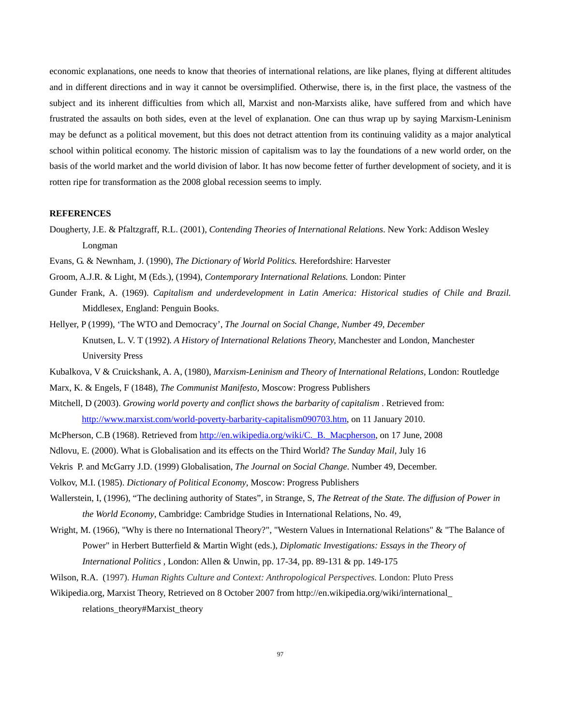economic explanations, one needs to know that theories of international relations, are like planes, flying at different altitudes and in different directions and in way it cannot be oversimplified. Otherwise, there is, in the first place, the vastness of the subject and its inherent difficulties from which all, Marxist and non-Marxists alike, have suffered from and which have frustrated the assaults on both sides, even at the level of explanation. One can thus wrap up by saying Marxism-Leninism may be defunct as a political movement, but this does not detract attention from its continuing validity as a major analytical school within political economy. The historic mission of capitalism was to lay the foundations of a new world order, on the basis of the world market and the world division of labor. It has now become fetter of further development of society, and it is rotten ripe for transformation as the 2008 global recession seems to imply.

#### **REFERENCES**

- Dougherty, J.E. & Pfaltzgraff, R.L. (2001), *Contending Theories of International Relations*. New York: Addison Wesley Longman
- Evans, G. & Newnham, J. (1990), *The Dictionary of World Politics.* Herefordshire: Harvester
- Groom, A.J.R. & Light, M (Eds.), (1994), *Contemporary International Relations.* London: Pinter
- Gunder Frank, A. (1969). *Capitalism and underdevelopment in Latin America: Historical studies of Chile and Brazil.*  Middlesex, England: Penguin Books.
- Hellyer, P (1999), 'The WTO and Democracy', *The Journal on Social Change, Number 49, December*  Knutsen, L. V. T (1992)*. A History of International Relations Theory,* Manchester and London, Manchester University Press
- Kubalkova, V & Cruickshank, A. A, (1980), *Marxism-Leninism and Theory of International Relations,* London: Routledge
- Marx, K. & Engels, F (1848), *The Communist Manifesto*, Moscow: Progress Publishers
- Mitchell, D (2003). *Growing world poverty and conflict shows the barbarity of capitalism* . Retrieved from: http://www.marxist.com/world-poverty-barbarity-capitalism090703.htm, on 11 January 2010.
- McPherson, C.B (1968). Retrieved from http://en.wikipedia.org/wiki/C. B. Macpherson, on 17 June, 2008
- Ndlovu, E. (2000). What is Globalisation and its effects on the Third World? *The Sunday Mail*, July 16
- Vekris P. and McGarry J.D. (1999) Globalisation, *The Journal on Social Change*. Number 49, December.
- Volkov, M.I. (1985). *Dictionary of Political Economy*, Moscow: Progress Publishers
- Wallerstein, I, (1996), "The declining authority of States", in Strange, S, *The Retreat of the State. The diffusion of Power in the World Economy*, Cambridge: Cambridge Studies in International Relations, No. 49,
- Wright, M. (1966), "Why is there no International Theory?", "Western Values in International Relations" & "The Balance of Power" in Herbert Butterfield & Martin Wight (eds.), *Diplomatic Investigations: Essays in the Theory of International Politics* , London: Allen & Unwin, pp. 17-34, pp. 89-131 & pp. 149-175
- Wilson, R.A. (1997). *Human Rights Culture and Context: Anthropological Perspectives.* London: Pluto Press
- Wikipedia.org, Marxist Theory, Retrieved on 8 October 2007 from http://en.wikipedia.org/wiki/international\_ relations\_theory#Marxist\_theory